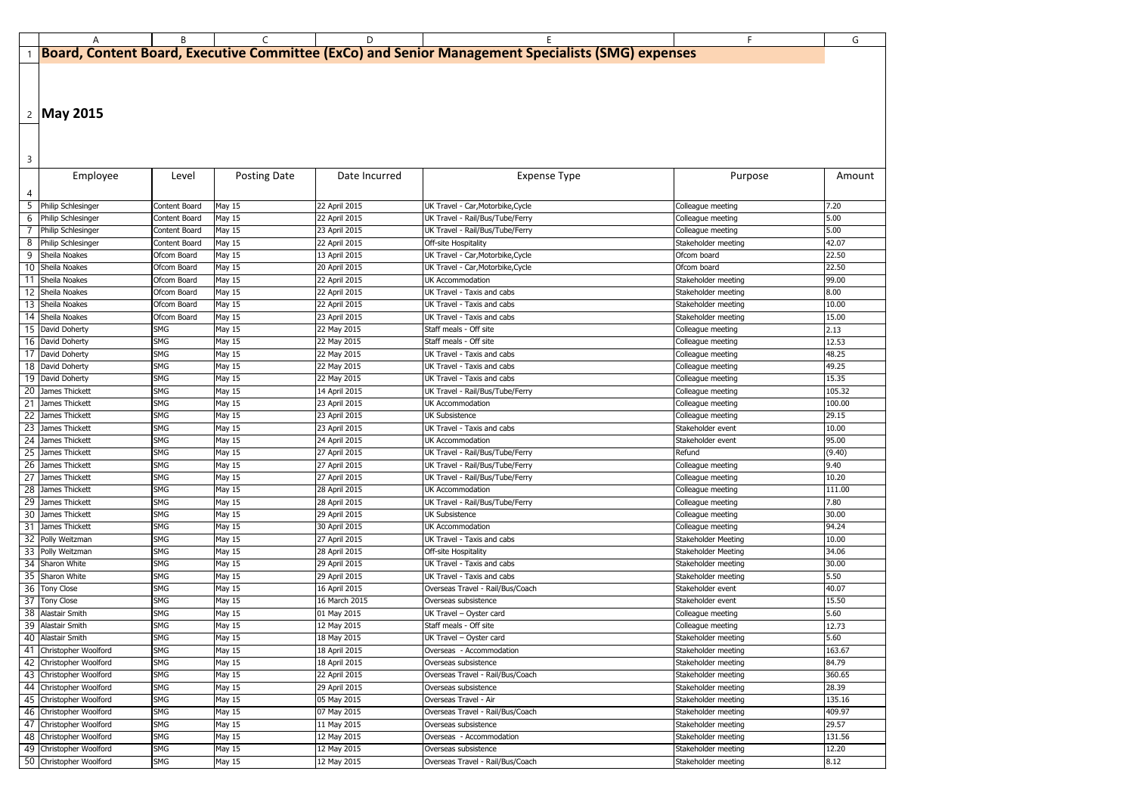|                 | A                                    | B                        | C                   | D                              |                                                                                                   | F.                                         | G             |
|-----------------|--------------------------------------|--------------------------|---------------------|--------------------------------|---------------------------------------------------------------------------------------------------|--------------------------------------------|---------------|
|                 |                                      |                          |                     |                                | Board, Content Board, Executive Committee (ExCo) and Senior Management Specialists (SMG) expenses |                                            |               |
|                 |                                      |                          |                     |                                |                                                                                                   |                                            |               |
|                 |                                      |                          |                     |                                |                                                                                                   |                                            |               |
|                 |                                      |                          |                     |                                |                                                                                                   |                                            |               |
|                 |                                      |                          |                     |                                |                                                                                                   |                                            |               |
|                 | 2   May 2015                         |                          |                     |                                |                                                                                                   |                                            |               |
|                 |                                      |                          |                     |                                |                                                                                                   |                                            |               |
|                 |                                      |                          |                     |                                |                                                                                                   |                                            |               |
| 3               |                                      |                          |                     |                                |                                                                                                   |                                            |               |
|                 |                                      |                          |                     |                                |                                                                                                   |                                            |               |
|                 | Employee                             | Level                    | <b>Posting Date</b> | Date Incurred                  | <b>Expense Type</b>                                                                               | Purpose                                    | Amount        |
| 4               |                                      |                          |                     |                                |                                                                                                   |                                            |               |
|                 | 5 Philip Schlesinger                 | Content Board            | May 15              | 22 April 2015                  | UK Travel - Car, Motorbike, Cycle                                                                 | Colleague meeting                          | 7.20          |
|                 | 6 Philip Schlesinger                 | Content Board            | May 15              | 22 April 2015                  | UK Travel - Rail/Bus/Tube/Ferry                                                                   | Colleague meeting                          | 5.00          |
|                 | 7 Philip Schlesinger                 | Content Board            | May 15              | 23 April 2015                  | UK Travel - Rail/Bus/Tube/Ferry                                                                   | Colleague meeting                          | 5.00          |
|                 | 8 Philip Schlesinger                 | Content Board            | <b>May 15</b>       | 22 April 2015                  | Off-site Hospitality                                                                              | Stakeholder meeting                        | 42.07         |
| 91              | Sheila Noakes                        | Ofcom Board              | May 15              | 13 April 2015                  | UK Travel - Car, Motorbike, Cycle                                                                 | Ofcom board                                | 22.50         |
|                 | 10 Sheila Noakes                     | Ofcom Board              | <b>May 15</b>       | 20 April 2015                  | UK Travel - Car, Motorbike, Cycle                                                                 | Ofcom board                                | 22.50         |
|                 | 11 Sheila Noakes                     | Ofcom Board              | <b>May 15</b>       | 22 April 2015                  | <b>UK Accommodation</b>                                                                           | Stakeholder meeting                        | 99.00         |
|                 | 12 Sheila Noakes                     | Ofcom Board              | May 15              | 22 April 2015                  | UK Travel - Taxis and cabs                                                                        | Stakeholder meeting                        | 8.00          |
|                 | 13 Sheila Noakes                     | Ofcom Board              | May 15              | 22 April 2015                  | UK Travel - Taxis and cabs                                                                        | Stakeholder meeting                        | 10.00         |
|                 | 14 Sheila Noakes                     | Ofcom Board              | <b>May 15</b>       | 23 April 2015                  | UK Travel - Taxis and cabs                                                                        | Stakeholder meeting                        | 15.00         |
|                 | 15 David Doherty                     | <b>SMG</b>               | May 15              | 22 May 2015                    | Staff meals - Off site                                                                            | Colleague meeting                          | 2.13          |
|                 | 16 David Doherty                     | <b>SMG</b>               | May 15              | 22 May 2015                    | Staff meals - Off site                                                                            | Colleague meeting                          | 12.53         |
|                 | 17 David Doherty                     | <b>SMG</b>               | <b>May 15</b>       | 22 May 2015                    | UK Travel - Taxis and cabs                                                                        | Colleague meeting                          | 48.25         |
|                 | 18 David Doherty                     | <b>SMG</b>               | May 15              | 22 May 2015                    | UK Travel - Taxis and cabs                                                                        | Colleague meeting                          | 49.25         |
|                 | 19 David Doherty                     | <b>SMG</b>               | May 15              | 22 May 2015                    | UK Travel - Taxis and cabs                                                                        | Colleague meeting                          | 15.35         |
| 20              | James Thickett                       | <b>SMG</b>               | <b>May 15</b>       | 14 April 2015                  | UK Travel - Rail/Bus/Tube/Ferry                                                                   | Colleague meeting                          | 105.32        |
| 21              | James Thickett                       | <b>SMG</b>               | May 15              | 23 April 2015                  | <b>UK Accommodation</b>                                                                           | Colleague meeting                          | 100.00        |
| 22              | James Thickett                       | <b>SMG</b>               | May 15              | 23 April 2015                  | <b>UK Subsistence</b>                                                                             | Colleague meeting                          | 29.15         |
| 23              | James Thickett                       | <b>SMG</b>               | May 15              | 23 April 2015                  | UK Travel - Taxis and cabs                                                                        | Stakeholder event                          | 10.00         |
| 24              | James Thickett                       | <b>SMG</b>               | May 15              | 24 April 2015                  | <b>UK Accommodation</b>                                                                           | Stakeholder event                          | 95.00         |
|                 | 25 James Thickett                    | <b>SMG</b>               | May 15              | 27 April 2015                  | UK Travel - Rail/Bus/Tube/Ferry                                                                   | Refund                                     | (9.40)        |
|                 | 26 James Thickett                    | <b>SMG</b>               | May 15              | 27 April 2015                  | UK Travel - Rail/Bus/Tube/Ferry                                                                   | Colleague meeting                          | 9.40          |
| 27              | James Thickett                       | <b>SMG</b>               | May 15              | 27 April 2015                  | UK Travel - Rail/Bus/Tube/Ferry                                                                   | Colleague meeting                          | 10.20         |
|                 | 28 James Thickett                    | <b>SMG</b>               | May 15              | 28 April 2015                  | UK Accommodation                                                                                  | Colleague meeting                          | 111.00        |
| 29              | James Thickett                       | <b>SMG</b>               | May 15              | 28 April 2015                  | UK Travel - Rail/Bus/Tube/Ferry                                                                   | Colleague meeting                          | 7.80          |
| 30 <sup>1</sup> | James Thickett                       | <b>SMG</b>               | <b>May 15</b>       | 29 April 2015                  | <b>UK Subsistence</b>                                                                             | Colleague meeting                          | 30.00         |
|                 | 31 James Thickett                    | <b>SMG</b>               | May 15              | 30 April 2015                  | <b>UK Accommodation</b>                                                                           | Colleague meeting                          | 94.24         |
|                 | 32 Polly Weitzman                    | <b>SMG</b>               | May 15              | 27 April 2015                  | UK Travel - Taxis and cabs                                                                        | Stakeholder Meeting                        | 10.00         |
|                 | 33 Polly Weitzman<br>34 Sharon White | <b>SMG</b>               | May 15              | 28 April 2015                  | Off-site Hospitality<br>UK Travel - Taxis and cabs                                                | Stakeholder Meeting                        | 34.06         |
| 35 I            | Sharon White                         | <b>SMG</b><br><b>SMG</b> | May 15<br>May 15    | 29 April 2015<br>29 April 2015 | UK Travel - Taxis and cabs                                                                        | Stakeholder meeting<br>Stakeholder meeting | 30.00<br>5.50 |
|                 | 36 Tony Close                        | <b>SMG</b>               | May 15              | 16 April 2015                  | Overseas Travel - Rail/Bus/Coach                                                                  | Stakeholder event                          | 40.07         |
| 37 <sup>1</sup> | Tony Close                           | <b>SMG</b>               | May 15              | 16 March 2015                  | Overseas subsistence                                                                              | Stakeholder event                          | 15.50         |
|                 | 38 Alastair Smith                    | <b>SMG</b>               | May 15              | 01 May 2015                    | UK Travel - Oyster card                                                                           | Colleague meeting                          | 5.60          |
|                 | 39 Alastair Smith                    | <b>SMG</b>               | May 15              | 12 May 2015                    | Staff meals - Off site                                                                            | Colleague meeting                          | 12.73         |
|                 | 40 Alastair Smith                    | <b>SMG</b>               | May 15              | 18 May 2015                    | UK Travel - Oyster card                                                                           | Stakeholder meeting                        | 5.60          |
| 41              | Christopher Woolford                 | <b>SMG</b>               | May 15              | 18 April 2015                  | Overseas - Accommodation                                                                          | Stakeholder meeting                        | 163.67        |
| 42              | Christopher Woolford                 | <b>SMG</b>               | May 15              | 18 April 2015                  | Overseas subsistence                                                                              | Stakeholder meeting                        | 84.79         |
| 43              | Christopher Woolford                 | <b>SMG</b>               | May 15              | 22 April 2015                  | Overseas Travel - Rail/Bus/Coach                                                                  | Stakeholder meeting                        | 360.65        |
| 44              | Christopher Woolford                 | <b>SMG</b>               | <b>May 15</b>       | 29 April 2015                  | Overseas subsistence                                                                              | Stakeholder meeting                        | 28.39         |
| 45              | Christopher Woolford                 | <b>SMG</b>               | <b>May 15</b>       | 05 May 2015                    | Overseas Travel - Air                                                                             | Stakeholder meeting                        | 135.16        |
| 46              | Christopher Woolford                 | <b>SMG</b>               | <b>May 15</b>       | 07 May 2015                    | Overseas Travel - Rail/Bus/Coach                                                                  | Stakeholder meeting                        | 409.97        |
| 47              | Christopher Woolford                 | <b>SMG</b>               | May 15              | 11 May 2015                    | Overseas subsistence                                                                              | Stakeholder meeting                        | 29.57         |
| 48              | Christopher Woolford                 | <b>SMG</b>               | <b>May 15</b>       | 12 May 2015                    | Overseas - Accommodation                                                                          | Stakeholder meeting                        | 131.56        |
| 49              | Christopher Woolford                 | SMG                      | May 15              | 12 May 2015                    | Overseas subsistence                                                                              | Stakeholder meeting                        | 12.20         |
|                 | 50 Christopher Woolford              | <b>SMG</b>               | <b>May 15</b>       | 12 May 2015                    | Overseas Travel - Rail/Bus/Coach                                                                  | Stakeholder meeting                        | 8.12          |

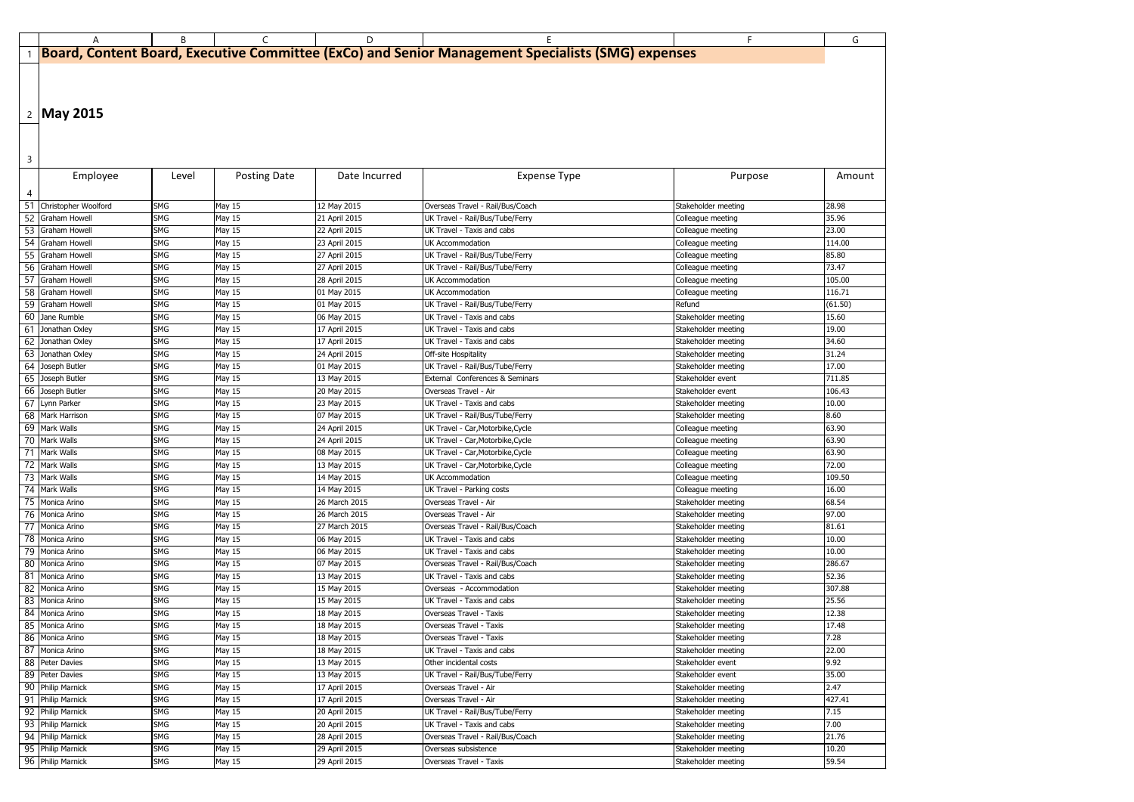|    | A                                      | B                        | C                   | D.                             |                                                                                                   | F.                                         | G              |
|----|----------------------------------------|--------------------------|---------------------|--------------------------------|---------------------------------------------------------------------------------------------------|--------------------------------------------|----------------|
|    |                                        |                          |                     |                                | Board, Content Board, Executive Committee (ExCo) and Senior Management Specialists (SMG) expenses |                                            |                |
|    |                                        |                          |                     |                                |                                                                                                   |                                            |                |
|    |                                        |                          |                     |                                |                                                                                                   |                                            |                |
|    |                                        |                          |                     |                                |                                                                                                   |                                            |                |
|    |                                        |                          |                     |                                |                                                                                                   |                                            |                |
|    | 2 May 2015                             |                          |                     |                                |                                                                                                   |                                            |                |
|    |                                        |                          |                     |                                |                                                                                                   |                                            |                |
|    |                                        |                          |                     |                                |                                                                                                   |                                            |                |
|    |                                        |                          |                     |                                |                                                                                                   |                                            |                |
| 3  |                                        |                          |                     |                                |                                                                                                   |                                            |                |
|    | Employee                               | Level                    | <b>Posting Date</b> | Date Incurred                  | <b>Expense Type</b>                                                                               | Purpose                                    | Amount         |
| 4  |                                        |                          |                     |                                |                                                                                                   |                                            |                |
| 51 | Christopher Woolford                   | <b>SMG</b>               | May 15              | 12 May 2015                    | Overseas Travel - Rail/Bus/Coach                                                                  | Stakeholder meeting                        | 28.98          |
|    | 52 Graham Howell                       | <b>SMG</b>               | May 15              | 21 April 2015                  | UK Travel - Rail/Bus/Tube/Ferry                                                                   | Colleague meeting                          | 35.96          |
|    | 53 Graham Howell                       | <b>SMG</b>               | <b>May 15</b>       | 22 April 2015                  | UK Travel - Taxis and cabs                                                                        | Colleague meeting                          | 23.00          |
|    | 54 Graham Howell                       | <b>SMG</b>               | May 15              | 23 April 2015                  | UK Accommodation                                                                                  | Colleague meeting                          | 114.00         |
|    | 55 Graham Howell                       | <b>SMG</b>               | May 15              | 27 April 2015                  | UK Travel - Rail/Bus/Tube/Ferry                                                                   | Colleague meeting                          | 85.80          |
|    | 56 Graham Howell                       | <b>SMG</b>               | <b>May 15</b>       | 27 April 2015                  | UK Travel - Rail/Bus/Tube/Ferry                                                                   | Colleague meeting                          | 73.47          |
|    | 57 Graham Howell                       | <b>SMG</b>               | <b>May 15</b>       | 28 April 2015                  | <b>UK Accommodation</b>                                                                           | Colleague meeting                          | 105.00         |
|    | 58 Graham Howell                       | <b>SMG</b>               | May 15              | 01 May 2015                    | <b>UK Accommodation</b>                                                                           | Colleague meeting                          | 116.71         |
|    | 59 Graham Howell                       | <b>SMG</b>               | <b>May 15</b>       | 01 May 2015                    | UK Travel - Rail/Bus/Tube/Ferry                                                                   | Refund                                     | (61.50)        |
|    | 60 Jane Rumble                         | <b>SMG</b>               | May 15              | 06 May 2015                    | UK Travel - Taxis and cabs                                                                        | Stakeholder meeting                        | 15.60          |
| 61 | Jonathan Oxley                         | <b>SMG</b>               | <b>May 15</b>       | 17 April 2015                  | UK Travel - Taxis and cabs                                                                        | Stakeholder meeting                        | 19.00          |
| 62 | Jonathan Oxley                         | <b>SMG</b>               | <b>May 15</b>       | 17 April 2015                  | UK Travel - Taxis and cabs                                                                        | Stakeholder meeting                        | 34.60          |
|    | 63 Jonathan Oxley                      | <b>SMG</b>               | May 15              | 24 April 2015                  | Off-site Hospitality                                                                              | Stakeholder meeting                        | 31.24          |
|    | 64 Joseph Butler                       | <b>SMG</b>               | May 15              | 01 May 2015                    | UK Travel - Rail/Bus/Tube/Ferry                                                                   | Stakeholder meeting                        | 17.00          |
|    | 65 Joseph Butler                       | <b>SMG</b>               | <b>May 15</b>       | 13 May 2015                    | External Conferences & Seminars                                                                   | Stakeholder event                          | 711.85         |
|    | 66 Joseph Butler                       | <b>SMG</b>               | May 15              | 20 May 2015                    | Overseas Travel - Air                                                                             | Stakeholder event                          | 106.43         |
|    | 67 Lynn Parker                         | <b>SMG</b>               | May 15              | 23 May 2015                    | UK Travel - Taxis and cabs                                                                        | Stakeholder meeting                        | 10.00          |
|    | 68 Mark Harrison                       | <b>SMG</b>               | <b>May 15</b>       | 07 May 2015                    | UK Travel - Rail/Bus/Tube/Ferry                                                                   | Stakeholder meeting                        | 8.60           |
|    | 69 Mark Walls                          | <b>SMG</b>               | May 15              | 24 April 2015                  | UK Travel - Car, Motorbike, Cycle                                                                 | Colleague meeting                          | 63.90          |
|    | 70 Mark Walls                          | <b>SMG</b>               | May 15              | 24 April 2015                  | UK Travel - Car, Motorbike, Cycle                                                                 | Colleague meeting                          | 63.90          |
|    | 71 Mark Walls                          | <b>SMG</b>               | May 15              | 08 May 2015                    | UK Travel - Car, Motorbike, Cycle                                                                 | Colleague meeting                          | 63.90          |
|    | 72 Mark Walls                          | SMG                      | May 15              | 13 May 2015                    | UK Travel - Car, Motorbike, Cycle                                                                 | Colleague meeting                          | 72.00          |
|    | 73 Mark Walls                          | <b>SMG</b>               | May 15              | 14 May 2015                    | <b>UK Accommodation</b>                                                                           | Colleague meeting                          | 109.50         |
|    | 74 Mark Walls                          | <b>SMG</b>               | May 15              | 14 May 2015                    | UK Travel - Parking costs                                                                         | Colleague meeting                          | 16.00          |
|    | 75 Monica Arino                        | <b>SMG</b>               | May 15              | 26 March 2015                  | Overseas Travel - Air                                                                             | Stakeholder meeting                        | 68.54          |
|    | 76 Monica Arino                        | <b>SMG</b>               | May 15              | 26 March 2015                  | Overseas Travel - Air                                                                             | Stakeholder meeting                        | 97.00          |
|    | 77 Monica Arino                        | <b>SMG</b>               | May 15              | 27 March 2015                  | Overseas Travel - Rail/Bus/Coach                                                                  | Stakeholder meeting                        | 81.61          |
|    | 78 Monica Arino                        | <b>SMG</b>               | May 15              | 06 May 2015                    | UK Travel - Taxis and cabs                                                                        | Stakeholder meeting                        | 10.00          |
|    | 79 Monica Arino                        | <b>SMG</b>               | May 15              | 06 May 2015                    | UK Travel - Taxis and cabs                                                                        | Stakeholder meeting                        | 10.00          |
|    | 80 Monica Arino                        | <b>SMG</b>               | May 15              | 07 May 2015                    | Overseas Travel - Rail/Bus/Coach                                                                  | Stakeholder meeting                        | 286.67         |
|    | 81 Monica Arino                        | <b>SMG</b>               | May 15              | 13 May 2015                    | UK Travel - Taxis and cabs                                                                        | Stakeholder meeting                        | 52.36          |
|    | 82 Monica Arino                        | <b>SMG</b>               | May 15              | 15 May 2015                    | Overseas - Accommodation                                                                          | Stakeholder meeting                        | 307.88         |
|    | 83 Monica Arino                        | <b>SMG</b>               | May 15              | 15 May 2015                    | UK Travel - Taxis and cabs                                                                        | Stakeholder meeting                        | 25.56          |
|    | 84 Monica Arino                        | <b>SMG</b>               | May 15              | 18 May 2015                    | Overseas Travel - Taxis                                                                           | Stakeholder meeting                        | 12.38          |
|    | 85 Monica Arino                        | <b>SMG</b>               | May 15              | 18 May 2015                    | Overseas Travel - Taxis                                                                           | Stakeholder meeting                        | 17.48          |
|    | 86 Monica Arino                        | <b>SMG</b>               | May 15              | 18 May 2015                    | Overseas Travel - Taxis                                                                           | Stakeholder meeting                        | 7.28           |
|    | 87 Monica Arino                        | <b>SMG</b>               | May 15              | 18 May 2015                    | UK Travel - Taxis and cabs                                                                        | Stakeholder meeting                        | 22.00          |
|    | 88 Peter Davies                        | <b>SMG</b>               | May 15              | 13 May 2015                    | Other incidental costs                                                                            | Stakeholder event                          | 9.92           |
|    | 89 Peter Davies                        | <b>SMG</b>               | May 15              | 13 May 2015                    | UK Travel - Rail/Bus/Tube/Ferry                                                                   | Stakeholder event                          | 35.00          |
|    | 90 Philip Marnick                      | <b>SMG</b>               | May 15              | 17 April 2015                  | Overseas Travel - Air                                                                             | Stakeholder meeting                        | 2.47           |
|    | 91 Philip Marnick                      | <b>SMG</b>               | May 15              | 17 April 2015                  | Overseas Travel - Air                                                                             | Stakeholder meeting                        | 427.41         |
|    | 92 Philip Marnick                      | <b>SMG</b>               | May 15              | 20 April 2015                  | UK Travel - Rail/Bus/Tube/Ferry                                                                   | Stakeholder meeting                        | 7.15           |
|    | 93 Philip Marnick                      | <b>SMG</b>               | May 15              | 20 April 2015                  | UK Travel - Taxis and cabs                                                                        | Stakeholder meeting                        | 7.00           |
|    | 94 Philip Marnick<br>95 Philip Marnick | <b>SMG</b><br><b>SMG</b> | May 15<br>May 15    | 28 April 2015<br>29 April 2015 | Overseas Travel - Rail/Bus/Coach<br>Overseas subsistence                                          | Stakeholder meeting<br>Stakeholder meeting | 21.76<br>10.20 |
|    | 96 Philip Marnick                      | SMG                      |                     | 29 April 2015                  | Overseas Travel - Taxis                                                                           | Stakeholder meeting                        | 59.54          |
|    |                                        |                          | May 15              |                                |                                                                                                   |                                            |                |